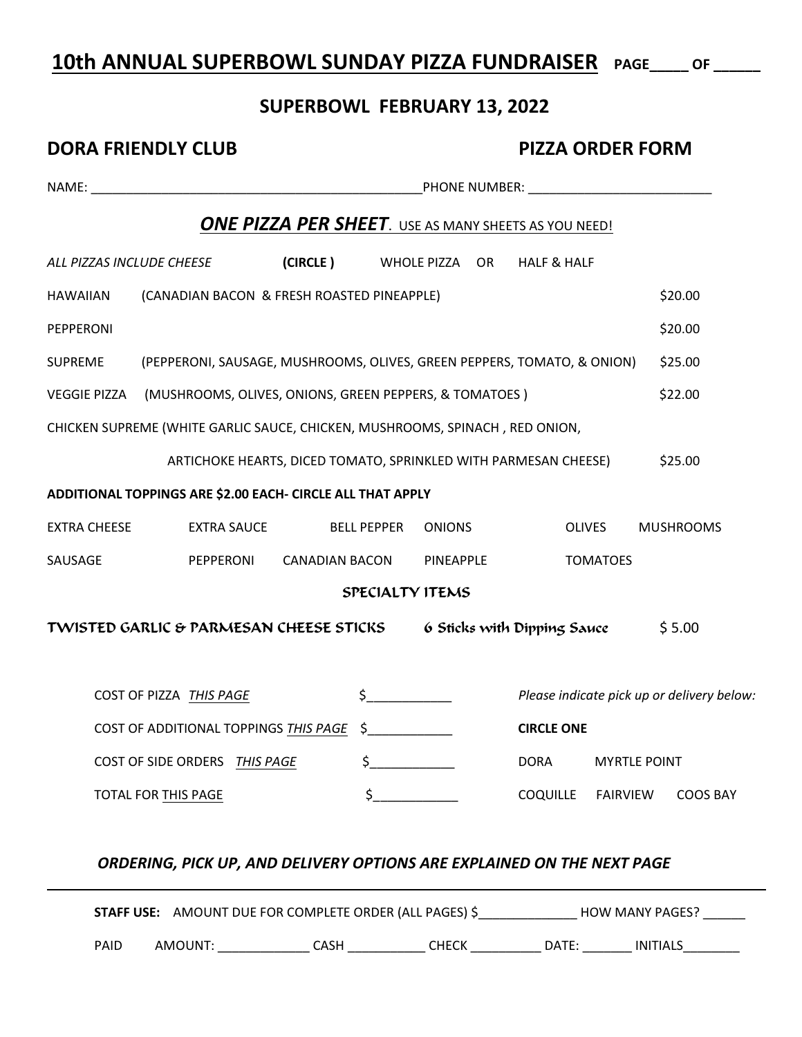# **10th ANNUAL SUPERBOWL SUNDAY PIZZA FUNDRAISER PAGE\_\_\_\_\_ OF \_\_\_\_\_\_**

### **SUPERBOWL FEBRUARY 13, 2022**

| <b>DORA FRIENDLY CLUB</b> |                                                                              |                                                                 | <b>PIZZA ORDER FORM</b>                  |                  |  |                             |                     |                                            |
|---------------------------|------------------------------------------------------------------------------|-----------------------------------------------------------------|------------------------------------------|------------------|--|-----------------------------|---------------------|--------------------------------------------|
|                           |                                                                              |                                                                 |                                          |                  |  |                             |                     |                                            |
|                           |                                                                              | <b>ONE PIZZA PER SHEET.</b> USE AS MANY SHEETS AS YOU NEED!     |                                          |                  |  |                             |                     |                                            |
| ALL PIZZAS INCLUDE CHEESE |                                                                              | (CIRCLE)                                                        | WHOLE PIZZA OR<br><b>HALF &amp; HALF</b> |                  |  |                             |                     |                                            |
| <b>HAWAIIAN</b>           | (CANADIAN BACON & FRESH ROASTED PINEAPPLE)                                   |                                                                 |                                          |                  |  |                             |                     | \$20.00                                    |
| PEPPERONI                 |                                                                              |                                                                 |                                          |                  |  |                             |                     | \$20.00                                    |
| <b>SUPREME</b>            | (PEPPERONI, SAUSAGE, MUSHROOMS, OLIVES, GREEN PEPPERS, TOMATO, & ONION)      |                                                                 |                                          |                  |  |                             |                     | \$25.00                                    |
| <b>VEGGIE PIZZA</b>       | (MUSHROOMS, OLIVES, ONIONS, GREEN PEPPERS, & TOMATOES)                       |                                                                 |                                          |                  |  |                             |                     | \$22.00                                    |
|                           | CHICKEN SUPREME (WHITE GARLIC SAUCE, CHICKEN, MUSHROOMS, SPINACH, RED ONION, |                                                                 |                                          |                  |  |                             |                     |                                            |
|                           |                                                                              | ARTICHOKE HEARTS, DICED TOMATO, SPRINKLED WITH PARMESAN CHEESE) |                                          |                  |  |                             |                     | \$25.00                                    |
|                           | ADDITIONAL TOPPINGS ARE \$2.00 EACH- CIRCLE ALL THAT APPLY                   |                                                                 |                                          |                  |  |                             |                     |                                            |
| <b>EXTRA CHEESE</b>       | <b>EXTRA SAUCE</b>                                                           |                                                                 | <b>BELL PEPPER</b>                       | <b>ONIONS</b>    |  |                             | <b>OLIVES</b>       | <b>MUSHROOMS</b>                           |
| SAUSAGE                   |                                                                              | PEPPERONI CANADIAN BACON                                        |                                          | <b>PINEAPPLE</b> |  |                             | <b>TOMATOES</b>     |                                            |
|                           |                                                                              |                                                                 | SPECIALTY ITEMS                          |                  |  |                             |                     |                                            |
|                           | TWISTED GARLIC & PARMESAN CHEESE STICKS                                      |                                                                 |                                          |                  |  | 6 Sticks with Dipping Sauce |                     | \$5.00                                     |
|                           |                                                                              |                                                                 |                                          |                  |  |                             |                     |                                            |
|                           | COST OF PIZZA THIS PAGE                                                      |                                                                 | $\sharp$                                 |                  |  |                             |                     | Please indicate pick up or delivery below: |
|                           | COST OF ADDITIONAL TOPPINGS THIS PAGE \$                                     |                                                                 |                                          |                  |  | <b>CIRCLE ONE</b>           |                     |                                            |
|                           | <b>COST OF SIDE ORDERS</b>                                                   | THIS PAGE                                                       | \$                                       |                  |  | <b>DORA</b>                 | <b>MYRTLE POINT</b> |                                            |
|                           | TOTAL FOR THIS PAGE                                                          |                                                                 | \$                                       |                  |  | <b>COQUILLE</b>             | <b>FAIRVIEW</b>     | <b>COOS BAY</b>                            |
|                           |                                                                              |                                                                 |                                          |                  |  |                             |                     |                                            |

### *ORDERING, PICK UP, AND DELIVERY OPTIONS ARE EXPLAINED ON THE NEXT PAGE*

|      | <b>STAFF USE:</b> AMOUNT DUE FOR COMPLETE ORDER (ALL PAGES) \$ |      |       |       | HOW MANY PAGES? |
|------|----------------------------------------------------------------|------|-------|-------|-----------------|
| PAID | AMOUNT:                                                        | CASH | СНЕСК | DATE: | INITIALS        |